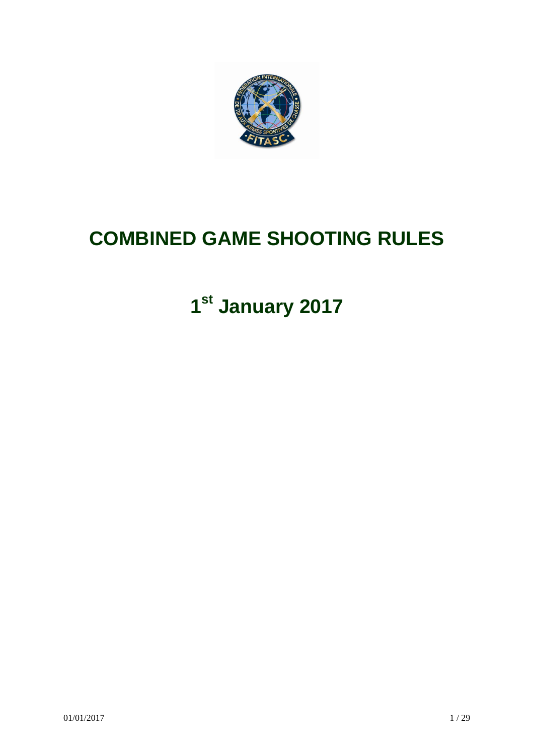

# **COMBINED GAME SHOOTING RULES**

# **1st January 2017**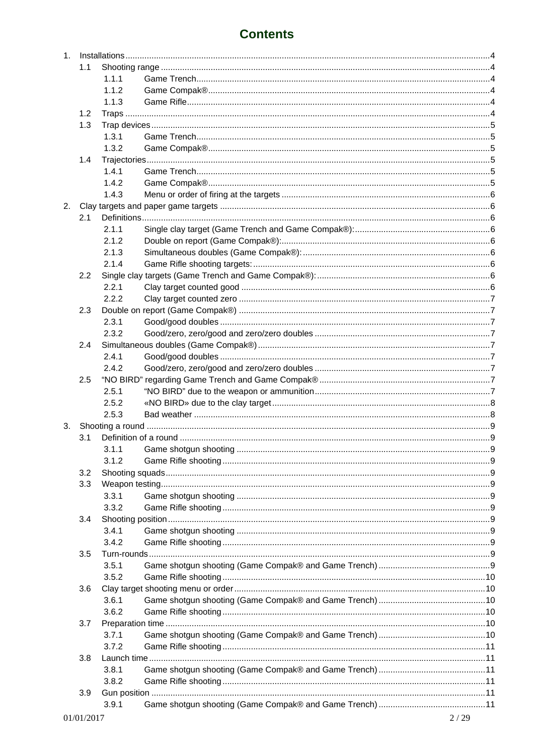|    | 1.1 |       |  |
|----|-----|-------|--|
|    |     | 1.1.1 |  |
|    |     | 1.1.2 |  |
|    |     | 1.1.3 |  |
|    | 1.2 |       |  |
|    | 1.3 |       |  |
|    |     | 1.3.1 |  |
|    |     | 1.3.2 |  |
|    |     |       |  |
|    | 1.4 |       |  |
|    |     | 1.4.1 |  |
|    |     | 1.4.2 |  |
|    |     | 1.4.3 |  |
| 2. |     |       |  |
|    | 2.1 |       |  |
|    |     | 2.1.1 |  |
|    |     | 2.1.2 |  |
|    |     | 2.1.3 |  |
|    |     | 2.1.4 |  |
|    | 2.2 |       |  |
|    |     | 2.2.1 |  |
|    |     | 2.2.2 |  |
|    | 2.3 |       |  |
|    |     | 2.3.1 |  |
|    |     | 2.3.2 |  |
|    | 2.4 |       |  |
|    |     | 2.4.1 |  |
|    |     | 2.4.2 |  |
|    | 2.5 |       |  |
|    |     | 2.5.1 |  |
|    |     | 2.5.2 |  |
|    |     | 2.5.3 |  |
|    |     |       |  |
|    | 3.1 |       |  |
|    |     | 3.1.1 |  |
|    |     | 3.1.2 |  |
|    |     |       |  |
|    | 3.2 |       |  |
|    | 3.3 |       |  |
|    |     | 3.3.1 |  |
|    |     | 3.3.2 |  |
|    | 3.4 |       |  |
|    |     | 3.4.1 |  |
|    |     | 3.4.2 |  |
|    | 3.5 |       |  |
|    |     | 3.5.1 |  |
|    |     | 3.5.2 |  |
|    | 3.6 |       |  |
|    |     | 3.6.1 |  |
|    |     | 3.6.2 |  |
|    | 3.7 |       |  |
|    |     | 3.7.1 |  |
|    |     | 3.7.2 |  |
|    | 3.8 |       |  |
|    |     | 3.8.1 |  |
|    |     | 3.8.2 |  |
|    | 3.9 |       |  |
|    |     | 3.9.1 |  |
|    |     |       |  |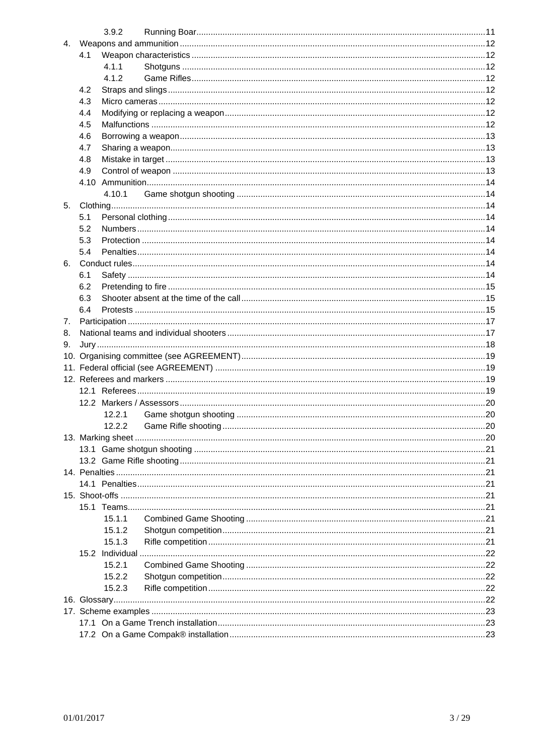|    |     | 3.9.2  |  |
|----|-----|--------|--|
|    |     |        |  |
|    | 4.1 |        |  |
|    |     | 4.1.1  |  |
|    |     | 4.1.2  |  |
|    | 4.2 |        |  |
|    | 4.3 |        |  |
|    | 4.4 |        |  |
|    | 4.5 |        |  |
|    | 4.6 |        |  |
|    |     |        |  |
|    | 4.7 |        |  |
|    | 4.8 |        |  |
|    | 4.9 |        |  |
|    |     |        |  |
|    |     | 4.10.1 |  |
| 5. |     |        |  |
|    | 5.1 |        |  |
|    | 5.2 |        |  |
|    | 5.3 |        |  |
|    | 5.4 |        |  |
|    |     |        |  |
|    | 6.1 |        |  |
|    | 6.2 |        |  |
|    | 6.3 |        |  |
|    | 6.4 |        |  |
| 7. |     |        |  |
| 8. |     |        |  |
| 9. |     |        |  |
|    |     |        |  |
|    |     |        |  |
|    |     |        |  |
|    |     |        |  |
|    |     |        |  |
|    |     | 12.2.1 |  |
|    |     |        |  |
|    |     |        |  |
|    |     |        |  |
|    |     |        |  |
|    |     |        |  |
|    |     |        |  |
|    |     |        |  |
|    |     |        |  |
|    |     |        |  |
|    |     | 15.1.1 |  |
|    |     | 15.1.2 |  |
|    |     | 15.1.3 |  |
|    |     |        |  |
|    |     | 15.2.1 |  |
|    |     | 15.2.2 |  |
|    |     | 15.2.3 |  |
|    |     |        |  |
|    |     |        |  |
|    |     |        |  |
|    |     |        |  |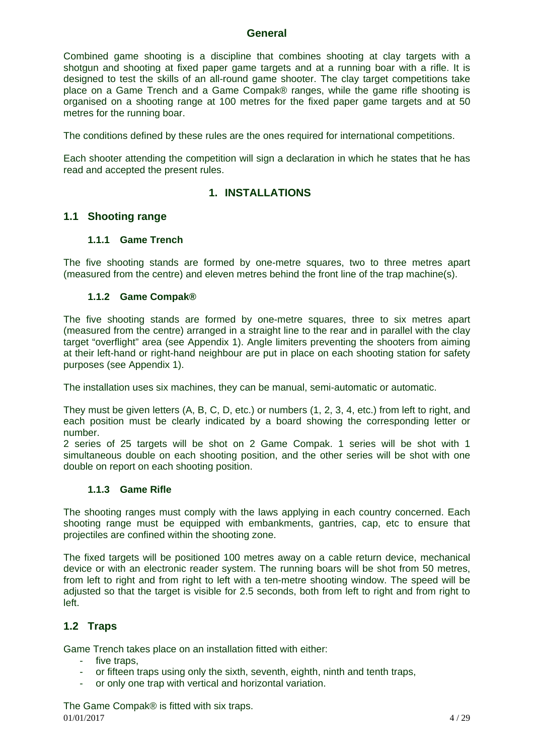#### **General**

Combined game shooting is a discipline that combines shooting at clay targets with a shotgun and shooting at fixed paper game targets and at a running boar with a rifle. It is designed to test the skills of an all-round game shooter. The clay target competitions take place on a Game Trench and a Game Compak® ranges, while the game rifle shooting is organised on a shooting range at 100 metres for the fixed paper game targets and at 50 metres for the running boar.

The conditions defined by these rules are the ones required for international competitions.

Each shooter attending the competition will sign a declaration in which he states that he has read and accepted the present rules.

# **1. INSTALLATIONS**

#### **1.1 Shooting range**

#### **1.1.1 Game Trench**

The five shooting stands are formed by one-metre squares, two to three metres apart (measured from the centre) and eleven metres behind the front line of the trap machine(s).

#### **1.1.2 Game Compak®**

The five shooting stands are formed by one-metre squares, three to six metres apart (measured from the centre) arranged in a straight line to the rear and in parallel with the clay target "overflight" area (see Appendix 1). Angle limiters preventing the shooters from aiming at their left-hand or right-hand neighbour are put in place on each shooting station for safety purposes (see Appendix 1).

The installation uses six machines, they can be manual, semi-automatic or automatic.

They must be given letters (A, B, C, D, etc.) or numbers (1, 2, 3, 4, etc.) from left to right, and each position must be clearly indicated by a board showing the corresponding letter or number.

2 series of 25 targets will be shot on 2 Game Compak. 1 series will be shot with 1 simultaneous double on each shooting position, and the other series will be shot with one double on report on each shooting position.

#### **1.1.3 Game Rifle**

The shooting ranges must comply with the laws applying in each country concerned. Each shooting range must be equipped with embankments, gantries, cap, etc to ensure that projectiles are confined within the shooting zone.

The fixed targets will be positioned 100 metres away on a cable return device, mechanical device or with an electronic reader system. The running boars will be shot from 50 metres, from left to right and from right to left with a ten-metre shooting window. The speed will be adjusted so that the target is visible for 2.5 seconds, both from left to right and from right to left.

# **1.2 Traps**

Game Trench takes place on an installation fitted with either:

- five traps,
- or fifteen traps using only the sixth, seventh, eighth, ninth and tenth traps,
- or only one trap with vertical and horizontal variation.

 $01/01/2017$  4 / 29 The Game Compak® is fitted with six traps.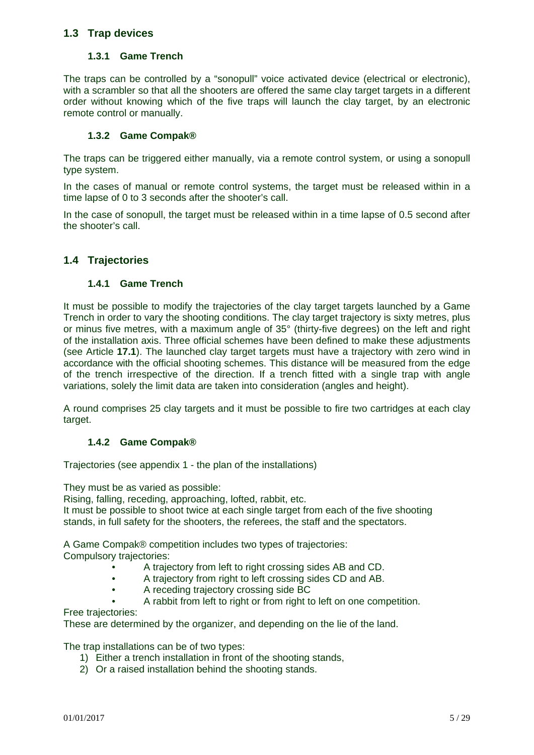# **1.3 Trap devices**

#### **1.3.1 Game Trench**

The traps can be controlled by a "sonopull" voice activated device (electrical or electronic), with a scrambler so that all the shooters are offered the same clay target targets in a different order without knowing which of the five traps will launch the clay target, by an electronic remote control or manually.

#### **1.3.2 Game Compak®**

The traps can be triggered either manually, via a remote control system, or using a sonopull type system.

In the cases of manual or remote control systems, the target must be released within in a time lapse of 0 to 3 seconds after the shooter's call.

In the case of sonopull, the target must be released within in a time lapse of 0.5 second after the shooter's call.

#### **1.4 Trajectories**

#### **1.4.1 Game Trench**

It must be possible to modify the trajectories of the clay target targets launched by a Game Trench in order to vary the shooting conditions. The clay target trajectory is sixty metres, plus or minus five metres, with a maximum angle of 35° (thirty-five degrees) on the left and right of the installation axis. Three official schemes have been defined to make these adjustments (see Article **17.1**). The launched clay target targets must have a trajectory with zero wind in accordance with the official shooting schemes. This distance will be measured from the edge of the trench irrespective of the direction. If a trench fitted with a single trap with angle variations, solely the limit data are taken into consideration (angles and height).

A round comprises 25 clay targets and it must be possible to fire two cartridges at each clay target.

#### **1.4.2 Game Compak®**

Trajectories (see appendix 1 - the plan of the installations)

They must be as varied as possible:

Rising, falling, receding, approaching, lofted, rabbit, etc.

It must be possible to shoot twice at each single target from each of the five shooting stands, in full safety for the shooters, the referees, the staff and the spectators.

A Game Compak® competition includes two types of trajectories:

Compulsory trajectories:

- A trajectory from left to right crossing sides AB and CD.
- A trajectory from right to left crossing sides CD and AB.
- A receding trajectory crossing side BC
- A rabbit from left to right or from right to left on one competition.

Free trajectories:

These are determined by the organizer, and depending on the lie of the land.

The trap installations can be of two types:

- 1) Either a trench installation in front of the shooting stands,
- 2) Or a raised installation behind the shooting stands.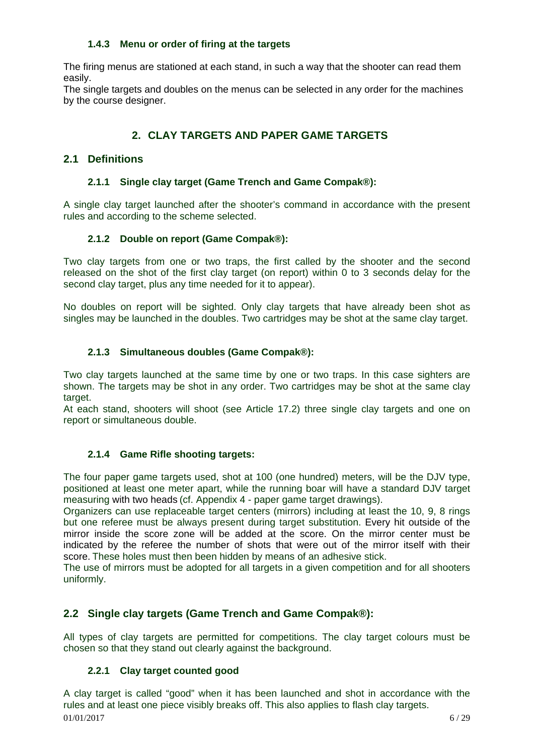#### **1.4.3 Menu or order of firing at the targets**

The firing menus are stationed at each stand, in such a way that the shooter can read them easily.

The single targets and doubles on the menus can be selected in any order for the machines by the course designer.

# **2. CLAY TARGETS AND PAPER GAME TARGETS**

# **2.1 Definitions**

#### **2.1.1 Single clay target (Game Trench and Game Compak®):**

A single clay target launched after the shooter's command in accordance with the present rules and according to the scheme selected.

#### **2.1.2 Double on report (Game Compak®):**

Two clay targets from one or two traps, the first called by the shooter and the second released on the shot of the first clay target (on report) within 0 to 3 seconds delay for the second clay target, plus any time needed for it to appear).

No doubles on report will be sighted. Only clay targets that have already been shot as singles may be launched in the doubles. Two cartridges may be shot at the same clay target.

#### **2.1.3 Simultaneous doubles (Game Compak®):**

Two clay targets launched at the same time by one or two traps. In this case sighters are shown. The targets may be shot in any order. Two cartridges may be shot at the same clay target.

At each stand, shooters will shoot (see Article 17.2) three single clay targets and one on report or simultaneous double.

# **2.1.4 Game Rifle shooting targets:**

The four paper game targets used, shot at 100 (one hundred) meters, will be the DJV type, positioned at least one meter apart, while the running boar will have a standard DJV target measuring with two heads (cf. Appendix 4 - paper game target drawings).

Organizers can use replaceable target centers (mirrors) including at least the 10, 9, 8 rings but one referee must be always present during target substitution. Every hit outside of the mirror inside the score zone will be added at the score. On the mirror center must be indicated by the referee the number of shots that were out of the mirror itself with their score. These holes must then been hidden by means of an adhesive stick.

The use of mirrors must be adopted for all targets in a given competition and for all shooters uniformly.

# **2.2 Single clay targets (Game Trench and Game Compak®):**

All types of clay targets are permitted for competitions. The clay target colours must be chosen so that they stand out clearly against the background.

# **2.2.1 Clay target counted good**

 $01/01/2017$  6/29 A clay target is called "good" when it has been launched and shot in accordance with the rules and at least one piece visibly breaks off. This also applies to flash clay targets.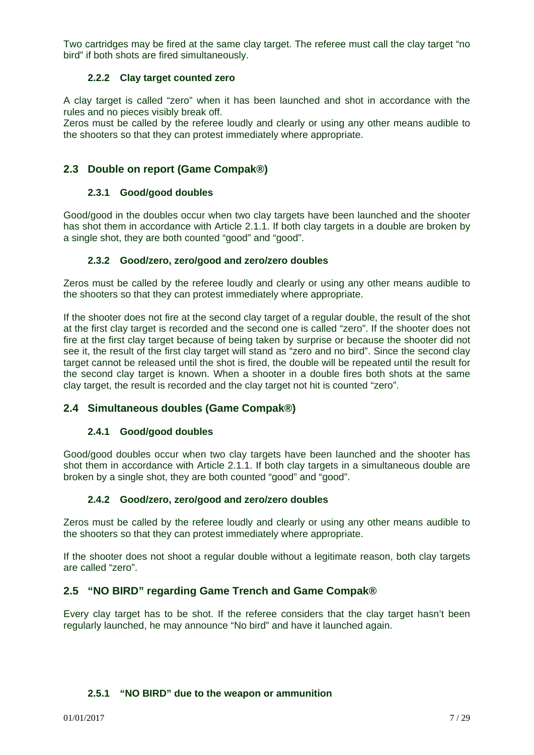Two cartridges may be fired at the same clay target. The referee must call the clay target "no bird" if both shots are fired simultaneously.

#### **2.2.2 Clay target counted zero**

A clay target is called "zero" when it has been launched and shot in accordance with the rules and no pieces visibly break off.

Zeros must be called by the referee loudly and clearly or using any other means audible to the shooters so that they can protest immediately where appropriate.

# **2.3 Double on report (Game Compak®)**

#### **2.3.1 Good/good doubles**

Good/good in the doubles occur when two clay targets have been launched and the shooter has shot them in accordance with Article 2.1.1. If both clay targets in a double are broken by a single shot, they are both counted "good" and "good".

#### **2.3.2 Good/zero, zero/good and zero/zero doubles**

Zeros must be called by the referee loudly and clearly or using any other means audible to the shooters so that they can protest immediately where appropriate.

If the shooter does not fire at the second clay target of a regular double, the result of the shot at the first clay target is recorded and the second one is called "zero". If the shooter does not fire at the first clay target because of being taken by surprise or because the shooter did not see it, the result of the first clay target will stand as "zero and no bird". Since the second clay target cannot be released until the shot is fired, the double will be repeated until the result for the second clay target is known. When a shooter in a double fires both shots at the same clay target, the result is recorded and the clay target not hit is counted "zero".

# **2.4 Simultaneous doubles (Game Compak®)**

#### **2.4.1 Good/good doubles**

Good/good doubles occur when two clay targets have been launched and the shooter has shot them in accordance with Article 2.1.1. If both clay targets in a simultaneous double are broken by a single shot, they are both counted "good" and "good".

#### **2.4.2 Good/zero, zero/good and zero/zero doubles**

Zeros must be called by the referee loudly and clearly or using any other means audible to the shooters so that they can protest immediately where appropriate.

If the shooter does not shoot a regular double without a legitimate reason, both clay targets are called "zero".

# **2.5 "NO BIRD" regarding Game Trench and Game Compak®**

Every clay target has to be shot. If the referee considers that the clay target hasn't been regularly launched, he may announce "No bird" and have it launched again.

#### **2.5.1 "NO BIRD" due to the weapon or ammunition**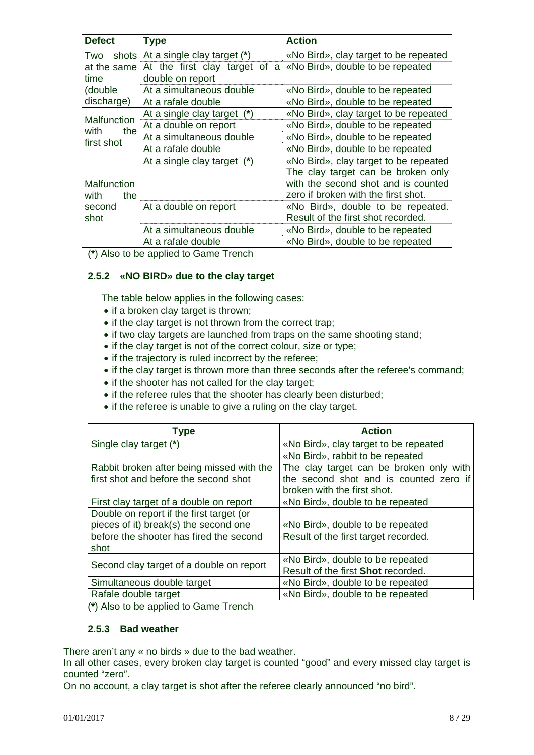| <b>Defect</b>       | <b>Type</b>                   | <b>Action</b>                         |  |  |  |  |  |  |  |  |  |
|---------------------|-------------------------------|---------------------------------------|--|--|--|--|--|--|--|--|--|
| shots l<br>Two      | At a single clay target (*)   | «No Bird», clay target to be repeated |  |  |  |  |  |  |  |  |  |
| at the same         | At the first clay target of a | «No Bird», double to be repeated      |  |  |  |  |  |  |  |  |  |
| time                | double on report              |                                       |  |  |  |  |  |  |  |  |  |
| (double)            | At a simultaneous double      | «No Bird», double to be repeated      |  |  |  |  |  |  |  |  |  |
| discharge)          | At a rafale double            | «No Bird», double to be repeated      |  |  |  |  |  |  |  |  |  |
|                     | At a single clay target (*)   | «No Bird», clay target to be repeated |  |  |  |  |  |  |  |  |  |
| Malfunction<br>with | At a double on report         | «No Bird», double to be repeated      |  |  |  |  |  |  |  |  |  |
| the<br>first shot   | At a simultaneous double      | «No Bird», double to be repeated      |  |  |  |  |  |  |  |  |  |
|                     | At a rafale double            | «No Bird», double to be repeated      |  |  |  |  |  |  |  |  |  |
|                     | At a single clay target (*)   | «No Bird», clay target to be repeated |  |  |  |  |  |  |  |  |  |
|                     |                               | The clay target can be broken only    |  |  |  |  |  |  |  |  |  |
| Malfunction         |                               | with the second shot and is counted   |  |  |  |  |  |  |  |  |  |
| with<br>the         |                               | zero if broken with the first shot.   |  |  |  |  |  |  |  |  |  |
| second              | At a double on report         | «No Bird», double to be repeated.     |  |  |  |  |  |  |  |  |  |
| shot                |                               | Result of the first shot recorded.    |  |  |  |  |  |  |  |  |  |
|                     | At a simultaneous double      | «No Bird», double to be repeated      |  |  |  |  |  |  |  |  |  |
|                     | At a rafale double            | «No Bird», double to be repeated      |  |  |  |  |  |  |  |  |  |

(**\***) Also to be applied to Game Trench

#### **2.5.2 «NO BIRD» due to the clay target**

The table below applies in the following cases:

- if a broken clay target is thrown;
- if the clay target is not thrown from the correct trap;
- if two clay targets are launched from traps on the same shooting stand;
- if the clay target is not of the correct colour, size or type;
- if the trajectory is ruled incorrect by the referee;
- if the clay target is thrown more than three seconds after the referee's command;
- if the shooter has not called for the clay target;
- if the referee rules that the shooter has clearly been disturbed;
- if the referee is unable to give a ruling on the clay target.

| Type                                      | <b>Action</b>                                                         |
|-------------------------------------------|-----------------------------------------------------------------------|
| Single clay target (*)                    | «No Bird», clay target to be repeated                                 |
|                                           | «No Bird», rabbit to be repeated                                      |
| Rabbit broken after being missed with the | The clay target can be broken only with                               |
| first shot and before the second shot     | the second shot and is counted zero if<br>broken with the first shot. |
| First clay target of a double on report   | «No Bird», double to be repeated                                      |
| Double on report if the first target (or  |                                                                       |
| pieces of it) break(s) the second one     | «No Bird», double to be repeated                                      |
| before the shooter has fired the second   | Result of the first target recorded.                                  |
| shot                                      |                                                                       |
| Second clay target of a double on report  | «No Bird», double to be repeated                                      |
|                                           | Result of the first Shot recorded.                                    |
| Simultaneous double target                | «No Bird», double to be repeated                                      |
| Rafale double target                      | «No Bird», double to be repeated                                      |

(**\***) Also to be applied to Game Trench

#### **2.5.3 Bad weather**

There aren't any « no birds » due to the bad weather.

In all other cases, every broken clay target is counted "good" and every missed clay target is counted "zero".

On no account, a clay target is shot after the referee clearly announced "no bird".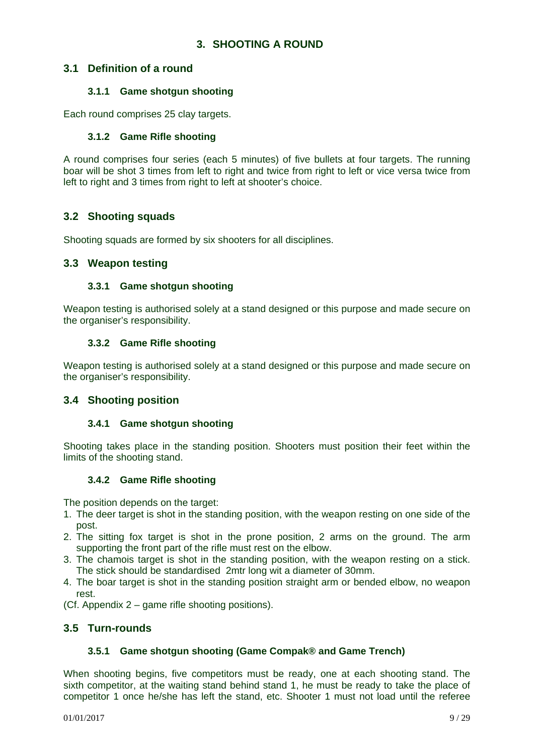# **3. SHOOTING A ROUND**

#### **3.1 Definition of a round**

#### **3.1.1 Game shotgun shooting**

Each round comprises 25 clay targets.

#### **3.1.2 Game Rifle shooting**

A round comprises four series (each 5 minutes) of five bullets at four targets. The running boar will be shot 3 times from left to right and twice from right to left or vice versa twice from left to right and 3 times from right to left at shooter's choice.

#### **3.2 Shooting squads**

Shooting squads are formed by six shooters for all disciplines.

#### **3.3 Weapon testing**

#### **3.3.1 Game shotgun shooting**

Weapon testing is authorised solely at a stand designed or this purpose and made secure on the organiser's responsibility.

#### **3.3.2 Game Rifle shooting**

Weapon testing is authorised solely at a stand designed or this purpose and made secure on the organiser's responsibility.

#### **3.4 Shooting position**

#### **3.4.1 Game shotgun shooting**

Shooting takes place in the standing position. Shooters must position their feet within the limits of the shooting stand.

#### **3.4.2 Game Rifle shooting**

The position depends on the target:

- 1. The deer target is shot in the standing position, with the weapon resting on one side of the post.
- 2. The sitting fox target is shot in the prone position, 2 arms on the ground. The arm supporting the front part of the rifle must rest on the elbow.
- 3. The chamois target is shot in the standing position, with the weapon resting on a stick. The stick should be standardised 2mtr long wit a diameter of 30mm.
- 4. The boar target is shot in the standing position straight arm or bended elbow, no weapon rest.
- (Cf. Appendix 2 game rifle shooting positions).

#### **3.5 Turn-rounds**

#### **3.5.1 Game shotgun shooting (Game Compak® and Game Trench)**

When shooting begins, five competitors must be ready, one at each shooting stand. The sixth competitor, at the waiting stand behind stand 1, he must be ready to take the place of competitor 1 once he/she has left the stand, etc. Shooter 1 must not load until the referee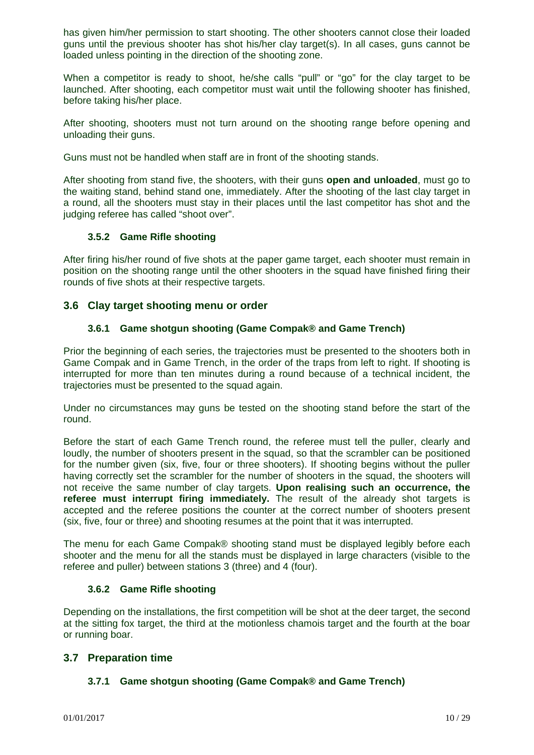has given him/her permission to start shooting. The other shooters cannot close their loaded guns until the previous shooter has shot his/her clay target(s). In all cases, guns cannot be loaded unless pointing in the direction of the shooting zone.

When a competitor is ready to shoot, he/she calls "pull" or "go" for the clay target to be launched. After shooting, each competitor must wait until the following shooter has finished, before taking his/her place.

After shooting, shooters must not turn around on the shooting range before opening and unloading their guns.

Guns must not be handled when staff are in front of the shooting stands.

After shooting from stand five, the shooters, with their guns **open and unloaded**, must go to the waiting stand, behind stand one, immediately. After the shooting of the last clay target in a round, all the shooters must stay in their places until the last competitor has shot and the judging referee has called "shoot over".

#### **3.5.2 Game Rifle shooting**

After firing his/her round of five shots at the paper game target, each shooter must remain in position on the shooting range until the other shooters in the squad have finished firing their rounds of five shots at their respective targets.

#### **3.6 Clay target shooting menu or order**

#### **3.6.1 Game shotgun shooting (Game Compak® and Game Trench)**

Prior the beginning of each series, the trajectories must be presented to the shooters both in Game Compak and in Game Trench, in the order of the traps from left to right. If shooting is interrupted for more than ten minutes during a round because of a technical incident, the trajectories must be presented to the squad again.

Under no circumstances may guns be tested on the shooting stand before the start of the round.

Before the start of each Game Trench round, the referee must tell the puller, clearly and loudly, the number of shooters present in the squad, so that the scrambler can be positioned for the number given (six, five, four or three shooters). If shooting begins without the puller having correctly set the scrambler for the number of shooters in the squad, the shooters will not receive the same number of clay targets. **Upon realising such an occurrence, the referee must interrupt firing immediately.** The result of the already shot targets is accepted and the referee positions the counter at the correct number of shooters present (six, five, four or three) and shooting resumes at the point that it was interrupted.

The menu for each Game Compak® shooting stand must be displayed legibly before each shooter and the menu for all the stands must be displayed in large characters (visible to the referee and puller) between stations 3 (three) and 4 (four).

#### **3.6.2 Game Rifle shooting**

Depending on the installations, the first competition will be shot at the deer target, the second at the sitting fox target, the third at the motionless chamois target and the fourth at the boar or running boar.

#### **3.7 Preparation time**

#### **3.7.1 Game shotgun shooting (Game Compak® and Game Trench)**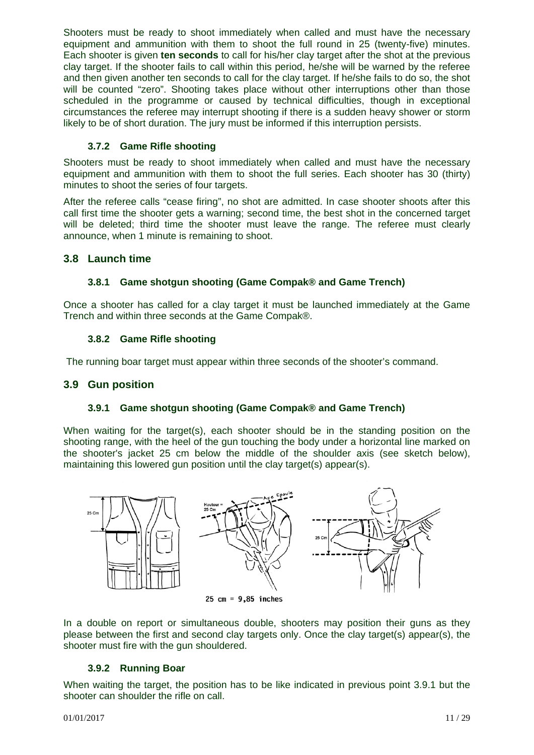Shooters must be ready to shoot immediately when called and must have the necessary equipment and ammunition with them to shoot the full round in 25 (twenty-five) minutes. Each shooter is given **ten seconds** to call for his/her clay target after the shot at the previous clay target. If the shooter fails to call within this period, he/she will be warned by the referee and then given another ten seconds to call for the clay target. If he/she fails to do so, the shot will be counted "zero". Shooting takes place without other interruptions other than those scheduled in the programme or caused by technical difficulties, though in exceptional circumstances the referee may interrupt shooting if there is a sudden heavy shower or storm likely to be of short duration. The jury must be informed if this interruption persists.

### **3.7.2 Game Rifle shooting**

Shooters must be ready to shoot immediately when called and must have the necessary equipment and ammunition with them to shoot the full series. Each shooter has 30 (thirty) minutes to shoot the series of four targets.

After the referee calls "cease firing", no shot are admitted. In case shooter shoots after this call first time the shooter gets a warning; second time, the best shot in the concerned target will be deleted; third time the shooter must leave the range. The referee must clearly announce, when 1 minute is remaining to shoot.

# **3.8 Launch time**

# **3.8.1 Game shotgun shooting (Game Compak® and Game Trench)**

Once a shooter has called for a clay target it must be launched immediately at the Game Trench and within three seconds at the Game Compak®.

#### **3.8.2 Game Rifle shooting**

The running boar target must appear within three seconds of the shooter's command.

#### **3.9 Gun position**

#### **3.9.1 Game shotgun shooting (Game Compak® and Game Trench)**

When waiting for the target(s), each shooter should be in the standing position on the shooting range, with the heel of the gun touching the body under a horizontal line marked on the shooter's jacket 25 cm below the middle of the shoulder axis (see sketch below), maintaining this lowered gun position until the clay target(s) appear(s).



25 cm =  $9,85$  inches

In a double on report or simultaneous double, shooters may position their guns as they please between the first and second clay targets only. Once the clay target(s) appear(s), the shooter must fire with the gun shouldered.

# **3.9.2 Running Boar**

When waiting the target, the position has to be like indicated in previous point 3.9.1 but the shooter can shoulder the rifle on call.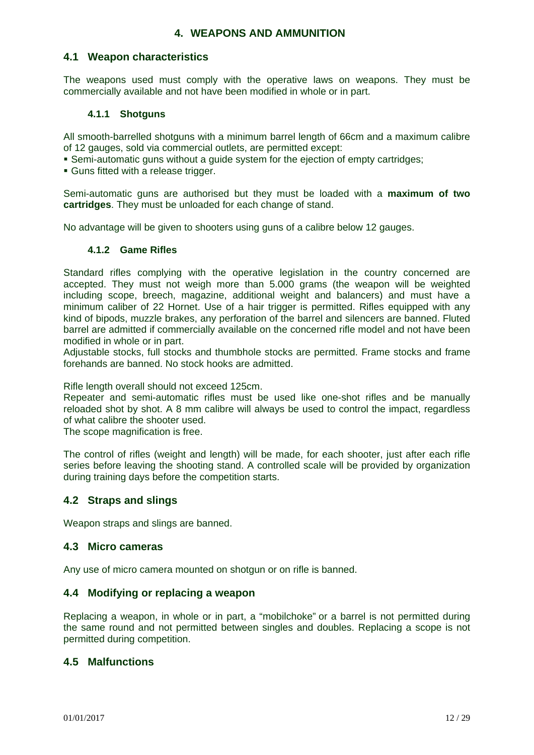# **4. WEAPONS AND AMMUNITION**

#### **4.1 Weapon characteristics**

The weapons used must comply with the operative laws on weapons. They must be commercially available and not have been modified in whole or in part.

#### **4.1.1 Shotguns**

All smooth-barrelled shotguns with a minimum barrel length of 66cm and a maximum calibre of 12 gauges, sold via commercial outlets, are permitted except:

Semi-automatic guns without a guide system for the ejection of empty cartridges;

Guns fitted with a release trigger.

Semi-automatic guns are authorised but they must be loaded with a **maximum of two cartridges**. They must be unloaded for each change of stand.

No advantage will be given to shooters using guns of a calibre below 12 gauges.

#### **4.1.2 Game Rifles**

Standard rifles complying with the operative legislation in the country concerned are accepted. They must not weigh more than 5.000 grams (the weapon will be weighted including scope, breech, magazine, additional weight and balancers) and must have a minimum caliber of 22 Hornet. Use of a hair trigger is permitted. Rifles equipped with any kind of bipods, muzzle brakes, any perforation of the barrel and silencers are banned. Fluted barrel are admitted if commercially available on the concerned rifle model and not have been modified in whole or in part.

Adjustable stocks, full stocks and thumbhole stocks are permitted. Frame stocks and frame forehands are banned. No stock hooks are admitted.

Rifle length overall should not exceed 125cm.

Repeater and semi-automatic rifles must be used like one-shot rifles and be manually reloaded shot by shot. A 8 mm calibre will always be used to control the impact, regardless of what calibre the shooter used.

The scope magnification is free.

The control of rifles (weight and length) will be made, for each shooter, just after each rifle series before leaving the shooting stand. A controlled scale will be provided by organization during training days before the competition starts.

#### **4.2 Straps and slings**

Weapon straps and slings are banned.

#### **4.3 Micro cameras**

Any use of micro camera mounted on shotgun or on rifle is banned.

#### **4.4 Modifying or replacing a weapon**

Replacing a weapon, in whole or in part, a "mobilchoke" or a barrel is not permitted during the same round and not permitted between singles and doubles. Replacing a scope is not permitted during competition.

#### **4.5 Malfunctions**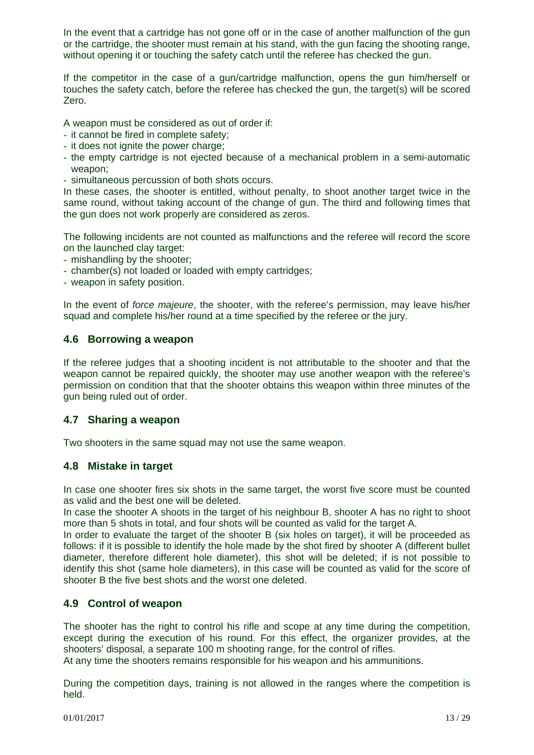In the event that a cartridge has not gone off or in the case of another malfunction of the gun or the cartridge, the shooter must remain at his stand, with the gun facing the shooting range, without opening it or touching the safety catch until the referee has checked the gun.

If the competitor in the case of a gun/cartridge malfunction, opens the gun him/herself or touches the safety catch, before the referee has checked the gun, the target(s) will be scored Zero.

A weapon must be considered as out of order if:

- it cannot be fired in complete safety;
- it does not ignite the power charge:
- the empty cartridge is not ejected because of a mechanical problem in a semi-automatic weapon;
- simultaneous percussion of both shots occurs.

In these cases, the shooter is entitled, without penalty, to shoot another target twice in the same round, without taking account of the change of gun. The third and following times that the gun does not work properly are considered as zeros.

The following incidents are not counted as malfunctions and the referee will record the score on the launched clay target:

- mishandling by the shooter;
- chamber(s) not loaded or loaded with empty cartridges;
- weapon in safety position.

In the event of *force majeure*, the shooter, with the referee's permission, may leave his/her squad and complete his/her round at a time specified by the referee or the jury.

#### **4.6 Borrowing a weapon**

If the referee judges that a shooting incident is not attributable to the shooter and that the weapon cannot be repaired quickly, the shooter may use another weapon with the referee's permission on condition that that the shooter obtains this weapon within three minutes of the gun being ruled out of order.

#### **4.7 Sharing a weapon**

Two shooters in the same squad may not use the same weapon.

#### **4.8 Mistake in target**

In case one shooter fires six shots in the same target, the worst five score must be counted as valid and the best one will be deleted.

In case the shooter A shoots in the target of his neighbour B, shooter A has no right to shoot more than 5 shots in total, and four shots will be counted as valid for the target A.

In order to evaluate the target of the shooter B (six holes on target), it will be proceeded as follows: if it is possible to identify the hole made by the shot fired by shooter A (different bullet diameter, therefore different hole diameter), this shot will be deleted; if is not possible to identify this shot (same hole diameters), in this case will be counted as valid for the score of shooter B the five best shots and the worst one deleted.

# **4.9 Control of weapon**

The shooter has the right to control his rifle and scope at any time during the competition, except during the execution of his round. For this effect, the organizer provides, at the shooters' disposal, a separate 100 m shooting range, for the control of rifles.

At any time the shooters remains responsible for his weapon and his ammunitions.

During the competition days, training is not allowed in the ranges where the competition is held.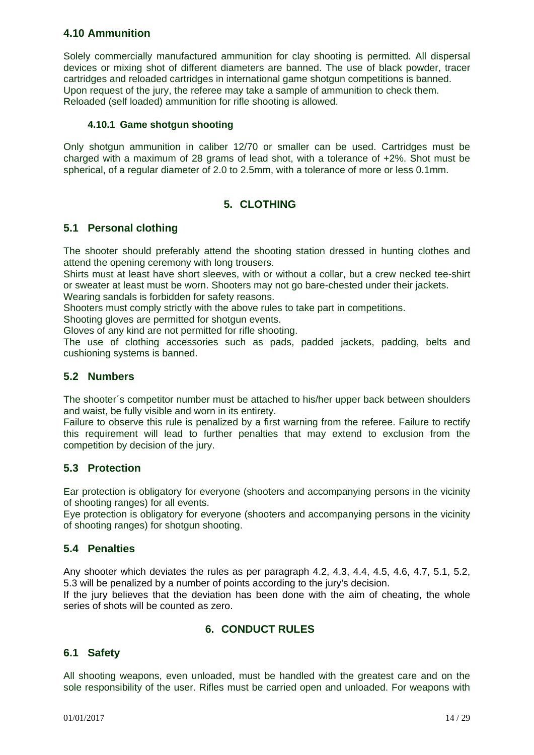# **4.10 Ammunition**

Solely commercially manufactured ammunition for clay shooting is permitted. All dispersal devices or mixing shot of different diameters are banned. The use of black powder, tracer cartridges and reloaded cartridges in international game shotgun competitions is banned. Upon request of the jury, the referee may take a sample of ammunition to check them. Reloaded (self loaded) ammunition for rifle shooting is allowed.

#### **4.10.1 Game shotgun shooting**

Only shotgun ammunition in caliber 12/70 or smaller can be used. Cartridges must be charged with a maximum of 28 grams of lead shot, with a tolerance of +2%. Shot must be spherical, of a regular diameter of 2.0 to 2.5mm, with a tolerance of more or less 0.1mm.

# **5. CLOTHING**

# **5.1 Personal clothing**

The shooter should preferably attend the shooting station dressed in hunting clothes and attend the opening ceremony with long trousers.

Shirts must at least have short sleeves, with or without a collar, but a crew necked tee-shirt or sweater at least must be worn. Shooters may not go bare-chested under their jackets. Wearing sandals is forbidden for safety reasons.

Shooters must comply strictly with the above rules to take part in competitions.

Shooting gloves are permitted for shotgun events.

Gloves of any kind are not permitted for rifle shooting.

The use of clothing accessories such as pads, padded jackets, padding, belts and cushioning systems is banned.

#### **5.2 Numbers**

The shooter´s competitor number must be attached to his/her upper back between shoulders and waist, be fully visible and worn in its entirety.

Failure to observe this rule is penalized by a first warning from the referee. Failure to rectify this requirement will lead to further penalties that may extend to exclusion from the competition by decision of the jury.

#### **5.3 Protection**

Ear protection is obligatory for everyone (shooters and accompanying persons in the vicinity of shooting ranges) for all events.

Eye protection is obligatory for everyone (shooters and accompanying persons in the vicinity of shooting ranges) for shotgun shooting.

# **5.4 Penalties**

Any shooter which deviates the rules as per paragraph 4.2, 4.3, 4.4, 4.5, 4.6, 4.7, 5.1, 5.2, 5.3 will be penalized by a number of points according to the jury's decision.

If the jury believes that the deviation has been done with the aim of cheating, the whole series of shots will be counted as zero.

# **6. CONDUCT RULES**

# **6.1 Safety**

All shooting weapons, even unloaded, must be handled with the greatest care and on the sole responsibility of the user. Rifles must be carried open and unloaded. For weapons with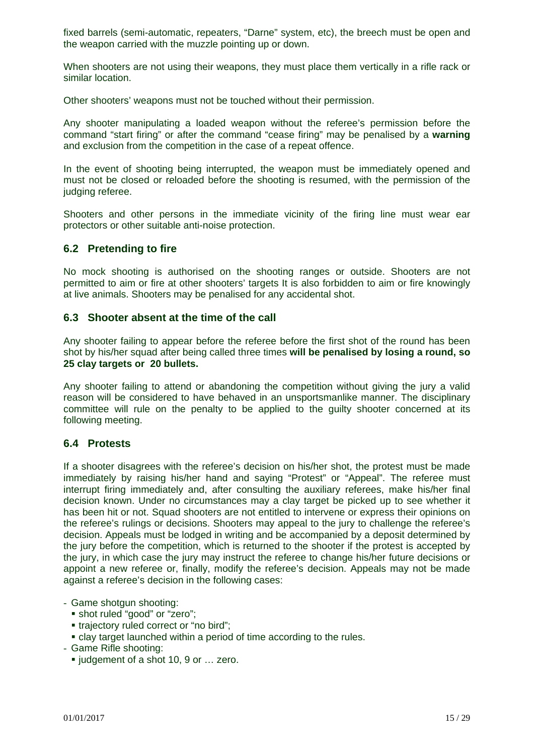fixed barrels (semi-automatic, repeaters, "Darne" system, etc), the breech must be open and the weapon carried with the muzzle pointing up or down.

When shooters are not using their weapons, they must place them vertically in a rifle rack or similar location.

Other shooters' weapons must not be touched without their permission.

Any shooter manipulating a loaded weapon without the referee's permission before the command "start firing" or after the command "cease firing" may be penalised by a **warning** and exclusion from the competition in the case of a repeat offence.

In the event of shooting being interrupted, the weapon must be immediately opened and must not be closed or reloaded before the shooting is resumed, with the permission of the judging referee.

Shooters and other persons in the immediate vicinity of the firing line must wear ear protectors or other suitable anti-noise protection.

#### **6.2 Pretending to fire**

No mock shooting is authorised on the shooting ranges or outside. Shooters are not permitted to aim or fire at other shooters' targets It is also forbidden to aim or fire knowingly at live animals. Shooters may be penalised for any accidental shot.

#### **6.3 Shooter absent at the time of the call**

Any shooter failing to appear before the referee before the first shot of the round has been shot by his/her squad after being called three times **will be penalised by losing a round, so 25 clay targets or 20 bullets.** 

Any shooter failing to attend or abandoning the competition without giving the jury a valid reason will be considered to have behaved in an unsportsmanlike manner. The disciplinary committee will rule on the penalty to be applied to the guilty shooter concerned at its following meeting.

#### **6.4 Protests**

If a shooter disagrees with the referee's decision on his/her shot, the protest must be made immediately by raising his/her hand and saying "Protest" or "Appeal". The referee must interrupt firing immediately and, after consulting the auxiliary referees, make his/her final decision known. Under no circumstances may a clay target be picked up to see whether it has been hit or not. Squad shooters are not entitled to intervene or express their opinions on the referee's rulings or decisions. Shooters may appeal to the jury to challenge the referee's decision. Appeals must be lodged in writing and be accompanied by a deposit determined by the jury before the competition, which is returned to the shooter if the protest is accepted by the jury, in which case the jury may instruct the referee to change his/her future decisions or appoint a new referee or, finally, modify the referee's decision. Appeals may not be made against a referee's decision in the following cases:

- Game shotgun shooting:
	- shot ruled "good" or "zero";
	- **trajectory ruled correct or "no bird":**
	- clay target launched within a period of time according to the rules.
- Game Rifle shooting:
	- judgement of a shot 10, 9 or ... zero.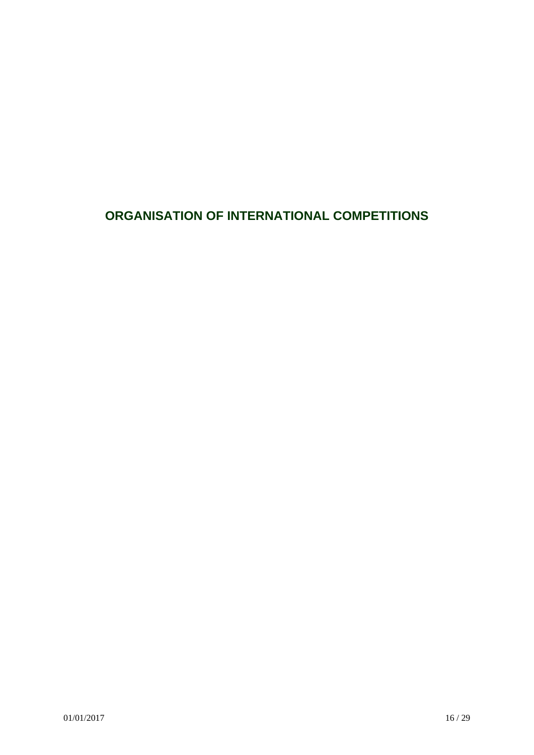# **ORGANISATION OF INTERNATIONAL COMPETITIONS**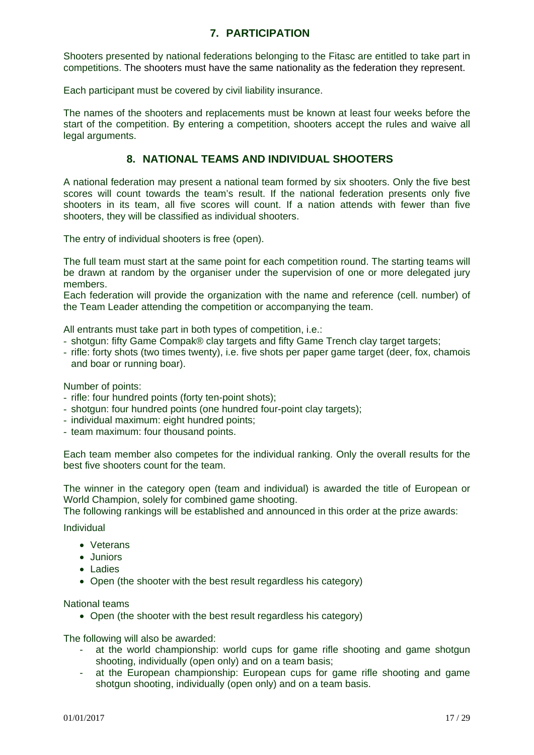# **7. PARTICIPATION**

Shooters presented by national federations belonging to the Fitasc are entitled to take part in competitions. The shooters must have the same nationality as the federation they represent.

Each participant must be covered by civil liability insurance.

The names of the shooters and replacements must be known at least four weeks before the start of the competition. By entering a competition, shooters accept the rules and waive all legal arguments.

# **8. NATIONAL TEAMS AND INDIVIDUAL SHOOTERS**

A national federation may present a national team formed by six shooters. Only the five best scores will count towards the team's result. If the national federation presents only five shooters in its team, all five scores will count. If a nation attends with fewer than five shooters, they will be classified as individual shooters.

The entry of individual shooters is free (open).

The full team must start at the same point for each competition round. The starting teams will be drawn at random by the organiser under the supervision of one or more delegated jury members.

Each federation will provide the organization with the name and reference (cell. number) of the Team Leader attending the competition or accompanying the team.

All entrants must take part in both types of competition, i.e.:

- shotgun: fifty Game Compak® clay targets and fifty Game Trench clay target targets;
- rifle: forty shots (two times twenty), i.e. five shots per paper game target (deer, fox, chamois and boar or running boar).

Number of points:

- rifle: four hundred points (forty ten-point shots);
- shotgun: four hundred points (one hundred four-point clay targets);
- individual maximum: eight hundred points;
- team maximum: four thousand points.

Each team member also competes for the individual ranking. Only the overall results for the best five shooters count for the team.

The winner in the category open (team and individual) is awarded the title of European or World Champion, solely for combined game shooting.

The following rankings will be established and announced in this order at the prize awards:

Individual

- Veterans
- Juniors
- Ladies
- Open (the shooter with the best result regardless his category)

National teams

• Open (the shooter with the best result regardless his category)

The following will also be awarded:

- at the world championship: world cups for game rifle shooting and game shotgun shooting, individually (open only) and on a team basis;
- at the European championship: European cups for game rifle shooting and game shotgun shooting, individually (open only) and on a team basis.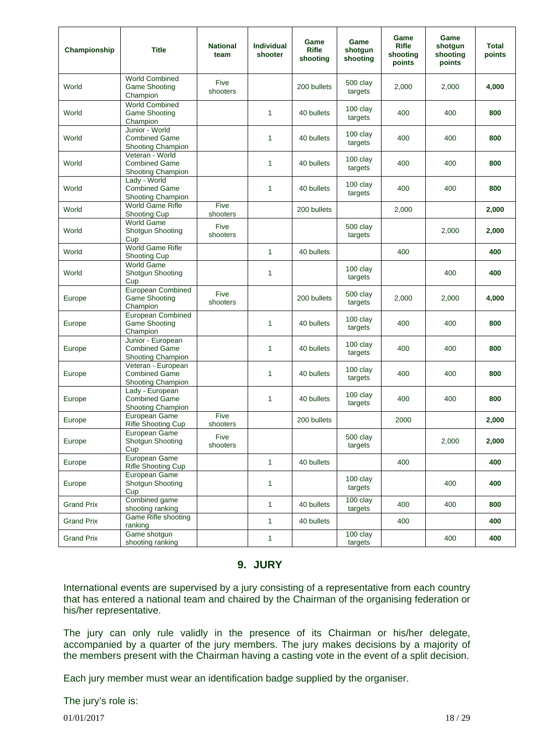| Championship      | <b>Title</b>                                                        | <b>National</b><br>team | Individual<br>shooter | Game<br><b>Rifle</b><br>shooting | Game<br>shotgun<br>shooting | Game<br><b>Rifle</b><br>shooting<br>points | Game<br>shotgun<br>shooting<br>points | <b>Total</b><br>points |
|-------------------|---------------------------------------------------------------------|-------------------------|-----------------------|----------------------------------|-----------------------------|--------------------------------------------|---------------------------------------|------------------------|
| World             | <b>World Combined</b><br><b>Game Shooting</b><br>Champion           | Five<br>shooters        |                       | 200 bullets                      | 500 clay<br>targets         | 2.000                                      | 2,000                                 | 4,000                  |
| World             | <b>World Combined</b><br><b>Game Shooting</b><br>Champion           |                         | 1                     | 40 bullets                       | 100 clay<br>targets         | 400                                        | 400                                   | 800                    |
| World             | Junior - World<br><b>Combined Game</b><br><b>Shooting Champion</b>  |                         | $\mathbf{1}$          | 40 bullets                       | 100 clay<br>targets         | 400                                        | 400                                   | 800                    |
| World             | Veteran - World<br><b>Combined Game</b><br><b>Shooting Champion</b> |                         | 1                     | 40 bullets                       | $100$ clay<br>targets       | 400                                        | 400                                   | 800                    |
| World             | Lady - World<br><b>Combined Game</b><br><b>Shooting Champion</b>    |                         | 1                     | 40 bullets                       | 100 clay<br>targets         | 400                                        | 400                                   | 800                    |
| World             | <b>World Game Rifle</b><br>Shooting Cup                             | Five<br>shooters        |                       | 200 bullets                      |                             | 2,000                                      |                                       | 2,000                  |
| World             | <b>World Game</b><br><b>Shotgun Shooting</b><br>Cup                 | Five<br>shooters        |                       |                                  | 500 clay<br>targets         |                                            | 2.000                                 | 2,000                  |
| World             | World Game Rifle<br><b>Shooting Cup</b>                             |                         | 1                     | 40 bullets                       |                             | 400                                        |                                       | 400                    |
| World             | <b>World Game</b><br><b>Shotgun Shooting</b><br>Cup                 |                         | 1                     |                                  | 100 clay<br>targets         |                                            | 400                                   | 400                    |
| Europe            | European Combined<br><b>Game Shooting</b><br>Champion               | Five<br>shooters        |                       | 200 bullets                      | 500 clay<br>targets         | 2,000                                      | 2,000                                 | 4,000                  |
| Europe            | European Combined<br><b>Game Shooting</b><br>Champion               |                         | 1                     | 40 bullets                       | 100 clay<br>targets         | 400                                        | 400                                   | 800                    |
| Europe            | Junior - European<br><b>Combined Game</b><br>Shooting Champion      |                         | 1                     | 40 bullets                       | 100 clay<br>targets         | 400                                        | 400                                   | 800                    |
| Europe            | Veteran - European<br><b>Combined Game</b><br>Shooting Champion     |                         | $\mathbf{1}$          | 40 bullets                       | 100 clay<br>targets         | 400                                        | 400                                   | 800                    |
| Europe            | Lady - European<br><b>Combined Game</b><br>Shooting Champion        |                         | 1                     | 40 bullets                       | 100 clay<br>targets         | 400                                        | 400                                   | 800                    |
| Europe            | European Game<br><b>Rifle Shooting Cup</b>                          | Five<br>shooters        |                       | 200 bullets                      |                             | 2000                                       |                                       | 2,000                  |
| Europe            | European Game<br>Shotgun Shooting<br>Cup                            | Five<br>shooters        |                       |                                  | 500 clay<br>targets         |                                            | 2,000                                 | 2,000                  |
| Europe            | European Game<br>Rifle Shooting Cup                                 |                         | $\mathbf{1}$          | 40 bullets                       |                             | 400                                        |                                       | 400                    |
| Europe            | European Game<br>Shotgun Shooting<br>Cup                            |                         | 1                     |                                  | 100 clay<br>targets         |                                            | 400                                   | 400                    |
| Grand Prix        | Combined game<br>shooting ranking                                   |                         | 1                     | 40 bullets                       | 100 clay<br>targets         | 400                                        | 400                                   | 800                    |
| <b>Grand Prix</b> | Game Rifle shooting<br>ranking                                      |                         | 1                     | 40 bullets                       |                             | 400                                        |                                       | 400                    |
| <b>Grand Prix</b> | Game shotgun<br>shooting ranking                                    |                         | 1                     |                                  | 100 clay<br>targets         |                                            | 400                                   | 400                    |

### **9. JURY**

International events are supervised by a jury consisting of a representative from each country that has entered a national team and chaired by the Chairman of the organising federation or his/her representative.

The jury can only rule validly in the presence of its Chairman or his/her delegate, accompanied by a quarter of the jury members. The jury makes decisions by a majority of the members present with the Chairman having a casting vote in the event of a split decision.

Each jury member must wear an identification badge supplied by the organiser.

The jury's role is:

 $01/01/2017$  18 / 29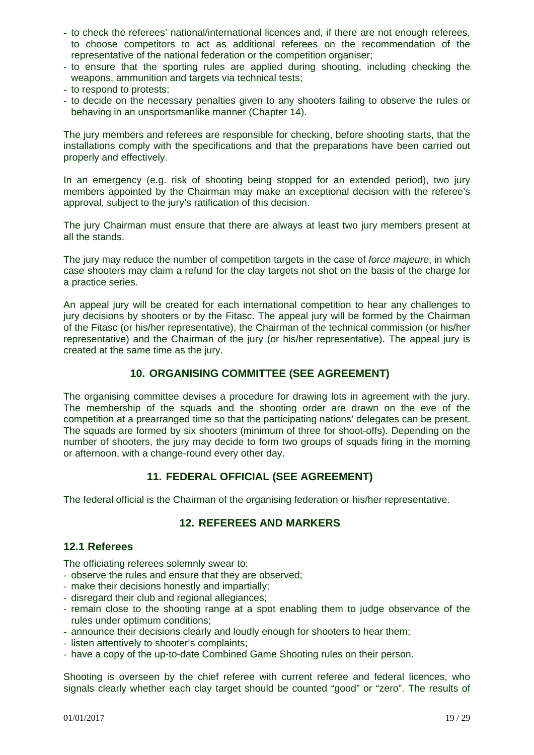- to check the referees' national/international licences and, if there are not enough referees, to choose competitors to act as additional referees on the recommendation of the representative of the national federation or the competition organiser;
- to ensure that the sporting rules are applied during shooting, including checking the weapons, ammunition and targets via technical tests;
- to respond to protests;
- to decide on the necessary penalties given to any shooters failing to observe the rules or behaving in an unsportsmanlike manner (Chapter 14).

The jury members and referees are responsible for checking, before shooting starts, that the installations comply with the specifications and that the preparations have been carried out properly and effectively.

In an emergency (e.g. risk of shooting being stopped for an extended period), two jury members appointed by the Chairman may make an exceptional decision with the referee's approval, subject to the jury's ratification of this decision.

The jury Chairman must ensure that there are always at least two jury members present at all the stands.

The jury may reduce the number of competition targets in the case of *force majeure*, in which case shooters may claim a refund for the clay targets not shot on the basis of the charge for a practice series.

An appeal jury will be created for each international competition to hear any challenges to jury decisions by shooters or by the Fitasc. The appeal jury will be formed by the Chairman of the Fitasc (or his/her representative), the Chairman of the technical commission (or his/her representative) and the Chairman of the jury (or his/her representative). The appeal jury is created at the same time as the jury.

# **10. ORGANISING COMMITTEE (SEE AGREEMENT)**

The organising committee devises a procedure for drawing lots in agreement with the jury. The membership of the squads and the shooting order are drawn on the eve of the competition at a prearranged time so that the participating nations' delegates can be present. The squads are formed by six shooters (minimum of three for shoot-offs). Depending on the number of shooters, the jury may decide to form two groups of squads firing in the morning or afternoon, with a change-round every other day.

# **11. FEDERAL OFFICIAL (SEE AGREEMENT)**

The federal official is the Chairman of the organising federation or his/her representative.

# **12. REFEREES AND MARKERS**

#### **12.1 Referees**

The officiating referees solemnly swear to:

- observe the rules and ensure that they are observed;
- make their decisions honestly and impartially;
- disregard their club and regional allegiances;
- remain close to the shooting range at a spot enabling them to judge observance of the rules under optimum conditions;
- announce their decisions clearly and loudly enough for shooters to hear them;
- listen attentively to shooter's complaints;
- have a copy of the up-to-date Combined Game Shooting rules on their person.

Shooting is overseen by the chief referee with current referee and federal licences, who signals clearly whether each clay target should be counted "good" or "zero". The results of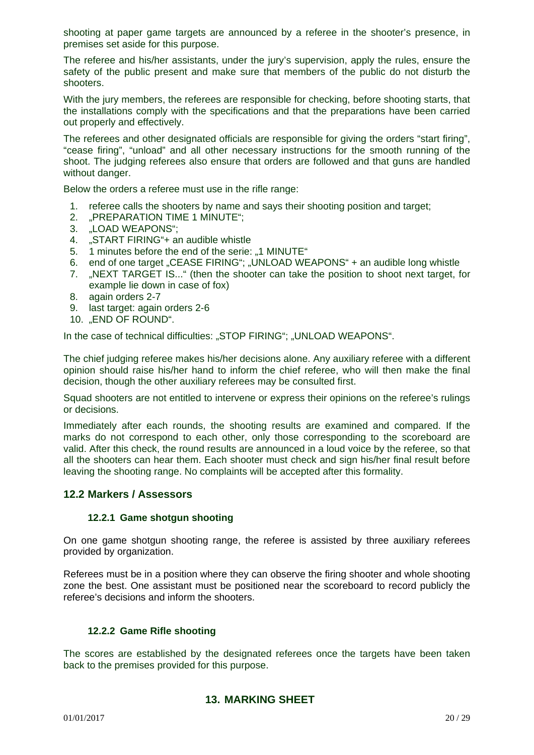shooting at paper game targets are announced by a referee in the shooter's presence, in premises set aside for this purpose.

The referee and his/her assistants, under the jury's supervision, apply the rules, ensure the safety of the public present and make sure that members of the public do not disturb the shooters.

With the jury members, the referees are responsible for checking, before shooting starts, that the installations comply with the specifications and that the preparations have been carried out properly and effectively.

The referees and other designated officials are responsible for giving the orders "start firing", "cease firing", "unload" and all other necessary instructions for the smooth running of the shoot. The judging referees also ensure that orders are followed and that guns are handled without danger.

Below the orders a referee must use in the rifle range:

- 1. referee calls the shooters by name and says their shooting position and target;
- 2. "PREPARATION TIME 1 MINUTE";
- 3. "LOAD WEAPONS";
- 4. "START FIRING"+ an audible whistle
- 5. 1 minutes before the end of the serie: ..1 MINUTE"
- 6. end of one target "CEASE FIRING"; "UNLOAD WEAPONS" + an audible long whistle
- 7. "NEXT TARGET IS..." (then the shooter can take the position to shoot next target, for example lie down in case of fox)
- 8. again orders 2-7
- 9. last target: again orders 2-6
- 10. "END OF ROUND".

In the case of technical difficulties: "STOP FIRING"; "UNLOAD WEAPONS".

The chief judging referee makes his/her decisions alone. Any auxiliary referee with a different opinion should raise his/her hand to inform the chief referee, who will then make the final decision, though the other auxiliary referees may be consulted first.

Squad shooters are not entitled to intervene or express their opinions on the referee's rulings or decisions.

Immediately after each rounds, the shooting results are examined and compared. If the marks do not correspond to each other, only those corresponding to the scoreboard are valid. After this check, the round results are announced in a loud voice by the referee, so that all the shooters can hear them. Each shooter must check and sign his/her final result before leaving the shooting range. No complaints will be accepted after this formality.

#### **12.2 Markers / Assessors**

#### **12.2.1 Game shotgun shooting**

On one game shotgun shooting range, the referee is assisted by three auxiliary referees provided by organization.

Referees must be in a position where they can observe the firing shooter and whole shooting zone the best. One assistant must be positioned near the scoreboard to record publicly the referee's decisions and inform the shooters.

#### **12.2.2 Game Rifle shooting**

The scores are established by the designated referees once the targets have been taken back to the premises provided for this purpose.

#### **13. MARKING SHEET**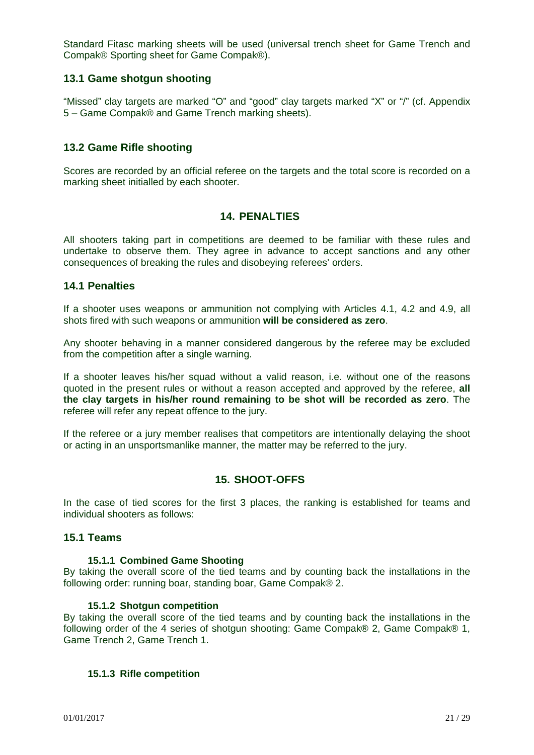Standard Fitasc marking sheets will be used (universal trench sheet for Game Trench and Compak® Sporting sheet for Game Compak®).

#### **13.1 Game shotgun shooting**

"Missed" clay targets are marked "O" and "good" clay targets marked "X" or "/" (cf. Appendix 5 – Game Compak® and Game Trench marking sheets).

#### **13.2 Game Rifle shooting**

Scores are recorded by an official referee on the targets and the total score is recorded on a marking sheet initialled by each shooter.

#### **14. PENALTIES**

All shooters taking part in competitions are deemed to be familiar with these rules and undertake to observe them. They agree in advance to accept sanctions and any other consequences of breaking the rules and disobeying referees' orders.

#### **14.1 Penalties**

If a shooter uses weapons or ammunition not complying with Articles 4.1, 4.2 and 4.9, all shots fired with such weapons or ammunition **will be considered as zero**.

Any shooter behaving in a manner considered dangerous by the referee may be excluded from the competition after a single warning.

If a shooter leaves his/her squad without a valid reason, i.e. without one of the reasons quoted in the present rules or without a reason accepted and approved by the referee, **all the clay targets in his/her round remaining to be shot will be recorded as zero**. The referee will refer any repeat offence to the jury.

If the referee or a jury member realises that competitors are intentionally delaying the shoot or acting in an unsportsmanlike manner, the matter may be referred to the jury.

#### **15. SHOOT-OFFS**

In the case of tied scores for the first 3 places, the ranking is established for teams and individual shooters as follows:

#### **15.1 Teams**

#### **15.1.1 Combined Game Shooting**

By taking the overall score of the tied teams and by counting back the installations in the following order: running boar, standing boar, Game Compak® 2.

#### **15.1.2 Shotgun competition**

By taking the overall score of the tied teams and by counting back the installations in the following order of the 4 series of shotgun shooting: Game Compak® 2, Game Compak® 1, Game Trench 2, Game Trench 1.

#### **15.1.3 Rifle competition**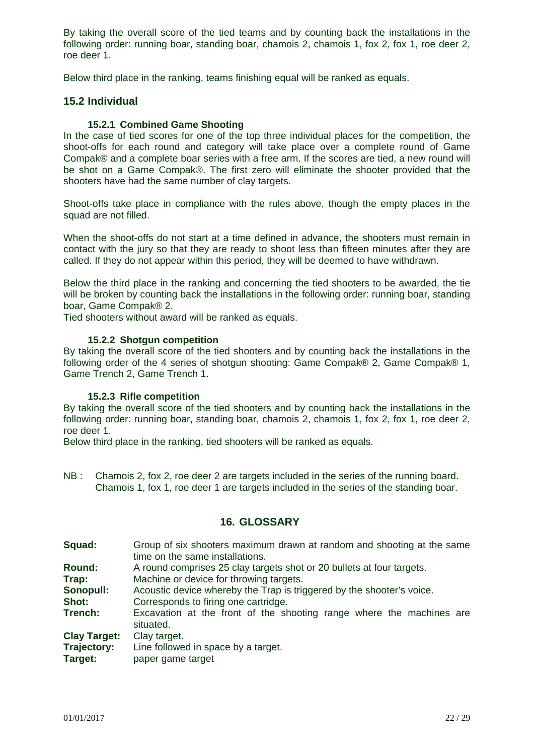By taking the overall score of the tied teams and by counting back the installations in the following order: running boar, standing boar, chamois 2, chamois 1, fox 2, fox 1, roe deer 2, roe deer 1.

Below third place in the ranking, teams finishing equal will be ranked as equals.

#### **15.2 Individual**

#### **15.2.1 Combined Game Shooting**

In the case of tied scores for one of the top three individual places for the competition, the shoot-offs for each round and category will take place over a complete round of Game Compak® and a complete boar series with a free arm. If the scores are tied, a new round will be shot on a Game Compak®. The first zero will eliminate the shooter provided that the shooters have had the same number of clay targets.

Shoot-offs take place in compliance with the rules above, though the empty places in the squad are not filled.

When the shoot-offs do not start at a time defined in advance, the shooters must remain in contact with the jury so that they are ready to shoot less than fifteen minutes after they are called. If they do not appear within this period, they will be deemed to have withdrawn.

Below the third place in the ranking and concerning the tied shooters to be awarded, the tie will be broken by counting back the installations in the following order: running boar, standing boar, Game Compak® 2.

Tied shooters without award will be ranked as equals.

#### **15.2.2 Shotgun competition**

By taking the overall score of the tied shooters and by counting back the installations in the following order of the 4 series of shotgun shooting: Game Compak® 2, Game Compak® 1, Game Trench 2, Game Trench 1.

#### **15.2.3 Rifle competition**

By taking the overall score of the tied shooters and by counting back the installations in the following order: running boar, standing boar, chamois 2, chamois 1, fox 2, fox 1, roe deer 2, roe deer 1.

Below third place in the ranking, tied shooters will be ranked as equals.

NB : Chamois 2, fox 2, roe deer 2 are targets included in the series of the running board. Chamois 1, fox 1, roe deer 1 are targets included in the series of the standing boar.

#### **16. GLOSSARY**

**Squad:** Group of six shooters maximum drawn at random and shooting at the same time on the same installations. **Round:** A round comprises 25 clay targets shot or 20 bullets at four targets. **Trap:** Machine or device for throwing targets. **Sonopull:** Acoustic device whereby the Trap is triggered by the shooter's voice. **Shot:** Corresponds to firing one cartridge. **Trench:** Excavation at the front of the shooting range where the machines are situated. **Clay Target:** Clay target. **Trajectory:** Line followed in space by a target. **Target:** paper game target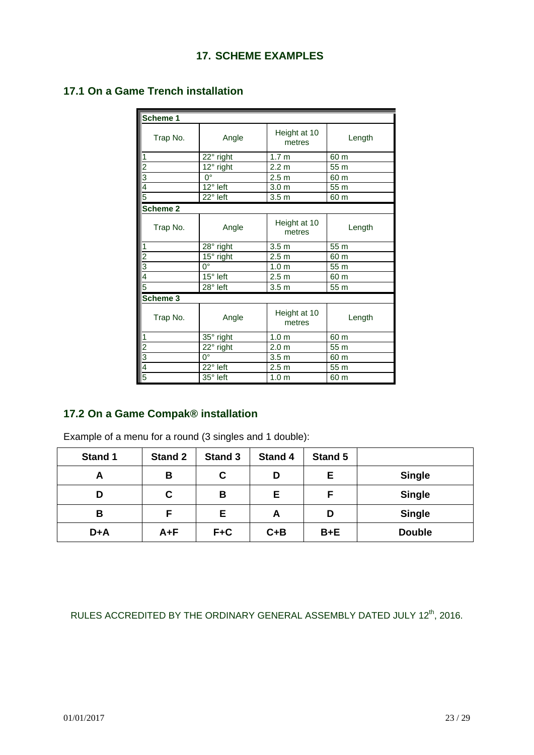# **17.1 On a Game Trench installation**

| Scheme 1                |                               |                        |        |
|-------------------------|-------------------------------|------------------------|--------|
| Trap No.                | Angle                         | Height at 10<br>metres | Length |
| 1                       | 22° right                     | 1.7 <sub>m</sub>       | 60 m   |
| $\overline{\mathbf{c}}$ | 12° right                     | 2.2 <sub>m</sub>       | 55 m   |
| 3                       | $0^{\circ}$                   | 2.5 <sub>m</sub>       | 60 m   |
| $\overline{4}$          | 12° left                      | 3.0 <sub>m</sub>       | 55 m   |
| 5                       | 22° left                      | 3.5 <sub>m</sub>       | 60 m   |
| Scheme 2                |                               |                        |        |
| Trap No.                | Angle                         | Height at 10<br>metres | Length |
| 1                       | 28° right                     | 3.5 <sub>m</sub>       | 55 m   |
| $\overline{2}$          | $\overline{1}5^{\circ}$ right | 2.5 <sub>m</sub>       | 60 m   |
| $\overline{3}$          | $0^{\circ}$                   | 1.0 <sub>m</sub>       | 55 m   |
| $\overline{4}$          | 15° left                      | 2.5 <sub>m</sub>       | 60 m   |
| 5                       | 28° left                      | 3.5 <sub>m</sub>       | 55 m   |
| Scheme 3                |                               |                        |        |
| Trap No.                | Angle                         | Height at 10<br>metres | Length |
| $\vert$ 1               | 35° right                     | 1.0 <sub>m</sub>       | 60 m   |
| $\overline{2}$          | 22° right                     | 2.0 <sub>m</sub>       | 55 m   |
| $\overline{3}$          | 0°                            | 3.5 <sub>m</sub>       | 60 m   |
| 4                       | $\overline{22}$ ° left        | 2.5 <sub>m</sub>       | 55 m   |
| 5                       | 35° left                      | 1.0 <sub>m</sub>       | 60 m   |

# **17.2 On a Game Compak® installation**

Example of a menu for a round (3 singles and 1 double):

| <b>Stand 1</b> | <b>Stand 2</b> | <b>Stand 3</b> | Stand 4 | Stand 5 |               |
|----------------|----------------|----------------|---------|---------|---------------|
| Α              | В              | C              | D       | Е       | <b>Single</b> |
| D              | С              | B              | Е       |         | <b>Single</b> |
| B              | F              | Е              | A       | D       | <b>Single</b> |
| D+A            | $A + F$        | $F + C$        | $C + B$ | $B + E$ | <b>Double</b> |

RULES ACCREDITED BY THE ORDINARY GENERAL ASSEMBLY DATED JULY 12<sup>th</sup>, 2016.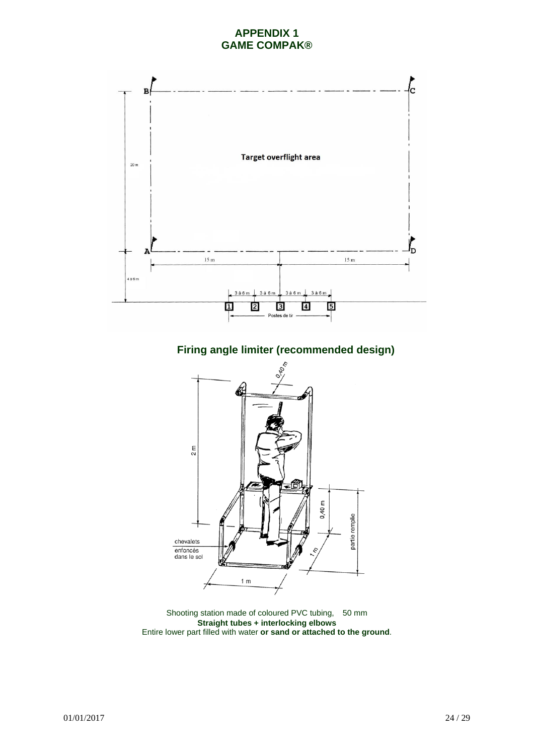#### **APPENDIX 1 GAME COMPAK®**





Shooting station made of coloured PVC tubing, 50 mm **Straight tubes + interlocking elbows**  Entire lower part filled with water **or sand or attached to the ground**.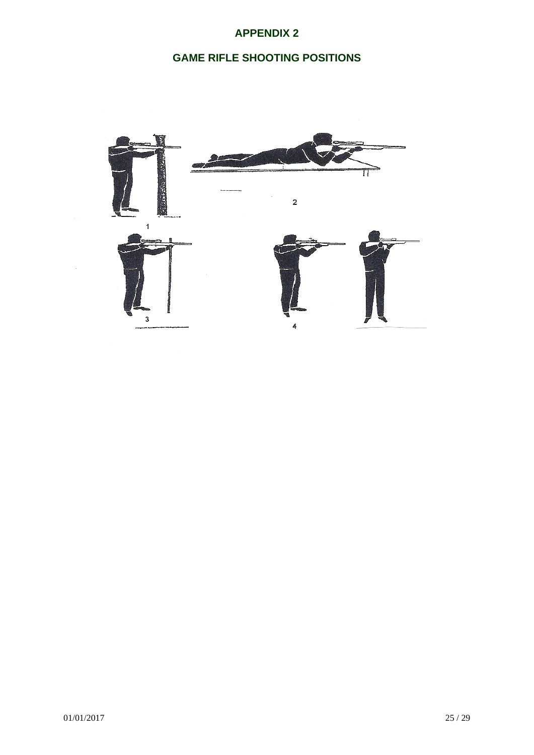# **APPENDIX 2**

# **GAME RIFLE SHOOTING POSITIONS**

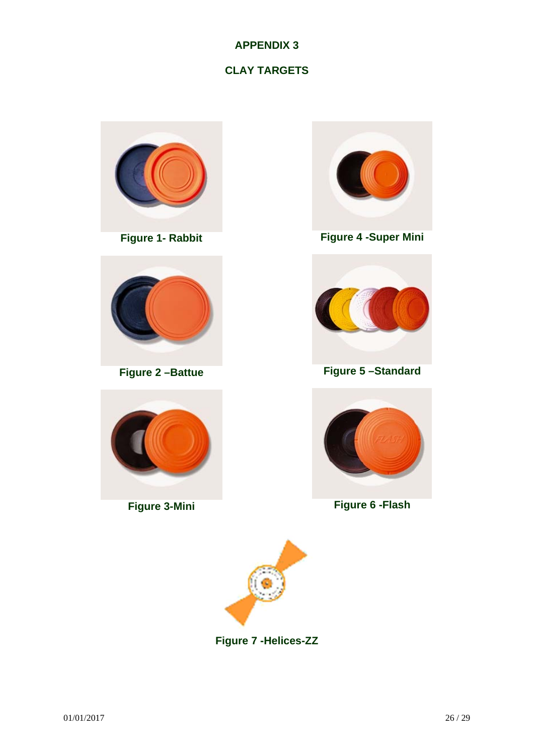# **APPENDIX 3**

# **CLAY TARGETS**



**Figure 1- Rabbit** 



**Figure 2 –Battue** 



**Figure 3-Mini** 



**Figure 4 -Super Mini** 



**Figure 5 –Standard** 



**Figure 6 -Flash** 



**Figure 7 -Helices-ZZ**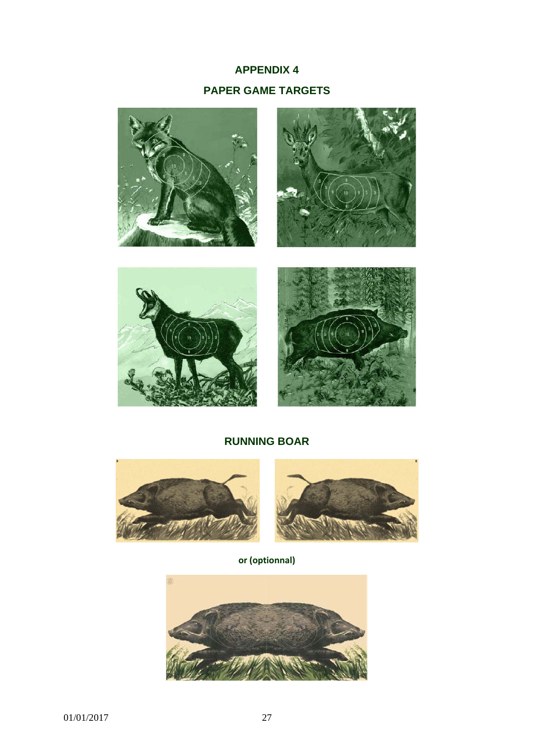# **APPENDIX 4 PAPER GAME TARGETS**









# **RUNNING BOAR**



**or (optionnal)**

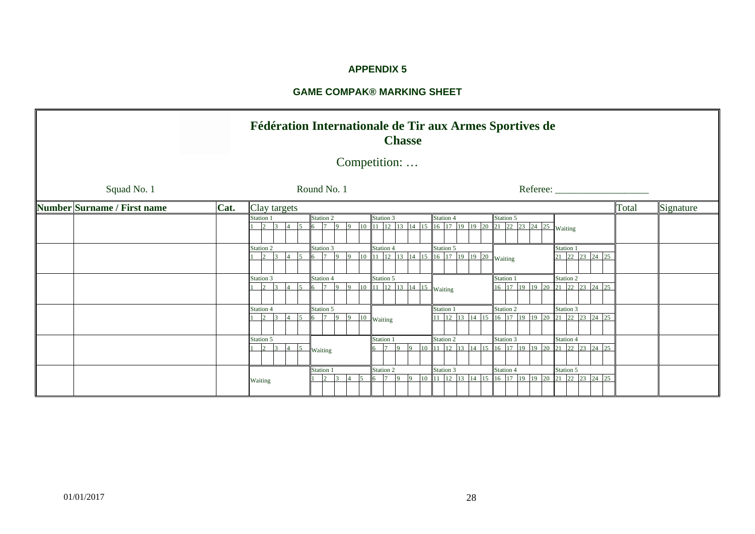#### **APPENDIX 5**

#### **GAME COMPAK® MARKING SHEET**

|                             | Fédération Internationale de Tir aux Armes Sportives de<br><b>Chasse</b> |              |                             |                |                 |              |                    |            |                                     |          |                        |                               |           |                                             |  |                                               |                |                             |                             |  |                             |           |  |
|-----------------------------|--------------------------------------------------------------------------|--------------|-----------------------------|----------------|-----------------|--------------|--------------------|------------|-------------------------------------|----------|------------------------|-------------------------------|-----------|---------------------------------------------|--|-----------------------------------------------|----------------|-----------------------------|-----------------------------|--|-----------------------------|-----------|--|
| Competition:                |                                                                          |              |                             |                |                 |              |                    |            |                                     |          |                        |                               |           |                                             |  |                                               |                |                             |                             |  |                             |           |  |
| Squad No. 1                 |                                                                          |              |                             |                |                 | Round No. 1  |                    |            |                                     |          |                        |                               |           |                                             |  |                                               | Referee:       |                             |                             |  |                             |           |  |
| Number Surname / First name | Cat.                                                                     | Clay targets |                             |                |                 |              |                    |            |                                     |          |                        |                               |           |                                             |  |                                               |                |                             |                             |  | Total                       | Signature |  |
| Station 1<br>$\overline{3}$ |                                                                          |              |                             |                | Station 2       | $\Omega$     | 10 <sup>10</sup>   |            | Station 3<br>$11 \quad 12 \quad 13$ |          |                        | Station 4                     |           | 14 15 16 17 19 19 20 21 22 23 24 25 Waiting |  | Station 5                                     |                |                             |                             |  |                             |           |  |
|                             |                                                                          | Station 2    | $\overline{3}$              | $\sim$         | Station 3<br>6  | $\mathbf Q$  | 10<br>9            |            | Station 4<br>$11 \quad 12 \quad 13$ |          |                        | Station 5                     |           | 14 15 16 17 19 19 20 Waiting                |  |                                               |                | Station 1<br>21 22 23 24 25 |                             |  |                             |           |  |
|                             |                                                                          | Station 3    | $\overline{3}$              | $\sim$         | Station 4<br>6  | $\mathbf{Q}$ | 10<br>$\mathbf{Q}$ |            | Station 5                           |          | 11 12 13 14 15 Waiting |                               |           |                                             |  | Station 1                                     | 16 17 19 19 20 |                             | Station 2                   |  | 21 22 23 24 25              |           |  |
|                             |                                                                          | Station 4    |                             | $\leq$         | Station 5<br>6. | $\alpha$     | $\alpha$           | 10 Waiting |                                     |          |                        | Station 1                     |           | 11 12 13 14 15 16 17 19 19 20               |  | Station 2                                     |                |                             | Station 3                   |  | $\overline{21}$ 22 23 24 25 |           |  |
|                             |                                                                          | Station 5    | $\overline{2}$<br>$\Lambda$ | 5 <sup>1</sup> | Waiting         |              |                    |            | Station 1<br>$\sim$ $\sqrt{7}$      | $\Omega$ | $10 \quad 11$          | Station 2<br>12 <sup>12</sup> |           | 13 14 15 16 17 19 19 20                     |  | Station 3                                     |                |                             | Station 4                   |  | $\overline{21}$ 22 23 24 25 |           |  |
|                             |                                                                          | Waiting      |                             |                |                 | Station 1    |                    |            | Station 2                           |          |                        |                               | Station 3 |                                             |  | Station 4<br>10 11 12 13 14 15 16 17 19 19 20 |                |                             | Station 5<br>21 22 23 24 25 |  |                             |           |  |